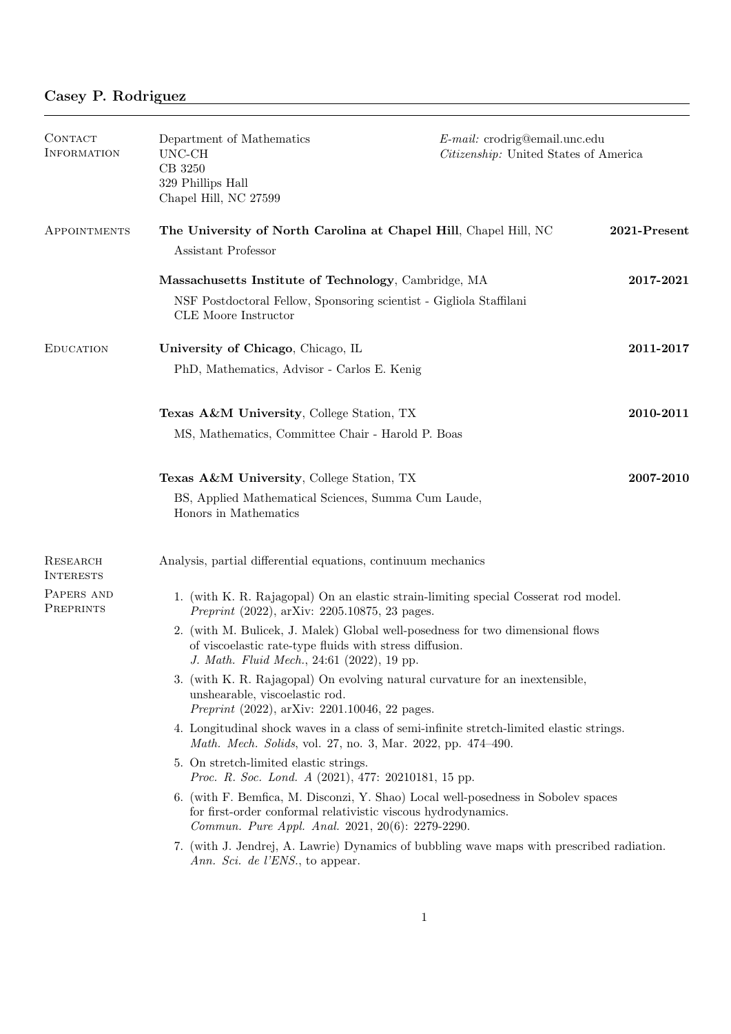| CONTACT<br><b>INFORMATION</b> | Department of Mathematics<br>UNC-CH<br>CB 3250<br>329 Phillips Hall<br>Chapel Hill, NC 27599                                                                                                           | E-mail: crodrig@email.unc.edu<br>Citizenship: United States of America |              |
|-------------------------------|--------------------------------------------------------------------------------------------------------------------------------------------------------------------------------------------------------|------------------------------------------------------------------------|--------------|
| APPOINTMENTS                  | The University of North Carolina at Chapel Hill, Chapel Hill, NC<br>Assistant Professor                                                                                                                |                                                                        | 2021-Present |
|                               | Massachusetts Institute of Technology, Cambridge, MA<br>NSF Postdoctoral Fellow, Sponsoring scientist - Gigliola Staffilani<br>CLE Moore Instructor                                                    |                                                                        | 2017-2021    |
| <b>EDUCATION</b>              | University of Chicago, Chicago, IL<br>PhD, Mathematics, Advisor - Carlos E. Kenig                                                                                                                      |                                                                        | 2011-2017    |
|                               | <b>Texas A&amp;M University, College Station, TX</b><br>MS, Mathematics, Committee Chair - Harold P. Boas                                                                                              |                                                                        | 2010-2011    |
|                               | Texas A&M University, College Station, TX<br>BS, Applied Mathematical Sciences, Summa Cum Laude,<br>Honors in Mathematics                                                                              |                                                                        | 2007-2010    |
| RESEARCH<br><b>INTERESTS</b>  | Analysis, partial differential equations, continuum mechanics                                                                                                                                          |                                                                        |              |
| PAPERS AND<br>PREPRINTS       | 1. (with K. R. Rajagopal) On an elastic strain-limiting special Cosserat rod model.<br><i>Preprint</i> $(2022)$ , arXiv: 2205.10875, 23 pages.                                                         |                                                                        |              |
|                               | 2. (with M. Bulicek, J. Malek) Global well-posedness for two dimensional flows<br>of viscoelastic rate-type fluids with stress diffusion.<br>J. Math. Fluid Mech., 24:61 (2022), 19 pp.                |                                                                        |              |
|                               | 3. (with K. R. Rajagopal) On evolving natural curvature for an inextensible,<br>unshearable, viscoelastic rod.<br><i>Preprint</i> $(2022)$ , arXiv: 2201.10046, 22 pages.                              |                                                                        |              |
|                               | 4. Longitudinal shock waves in a class of semi-infinite stretch-limited elastic strings.<br>Math. Mech. Solids, vol. 27, no. 3, Mar. 2022, pp. 474-490.                                                |                                                                        |              |
|                               | 5. On stretch-limited elastic strings.<br><i>Proc. R. Soc. Lond. A</i> (2021), 477: 20210181, 15 pp.                                                                                                   |                                                                        |              |
|                               | 6. (with F. Bemfica, M. Disconzi, Y. Shao) Local well-posedness in Sobolev spaces<br>for first-order conformal relativistic viscous hydrodynamics.<br>Commun. Pure Appl. Anal. 2021, 20(6): 2279-2290. |                                                                        |              |
|                               | 7. (with J. Jendrej, A. Lawrie) Dynamics of bubbling wave maps with prescribed radiation.<br>Ann. Sci. de l'ENS., to appear.                                                                           |                                                                        |              |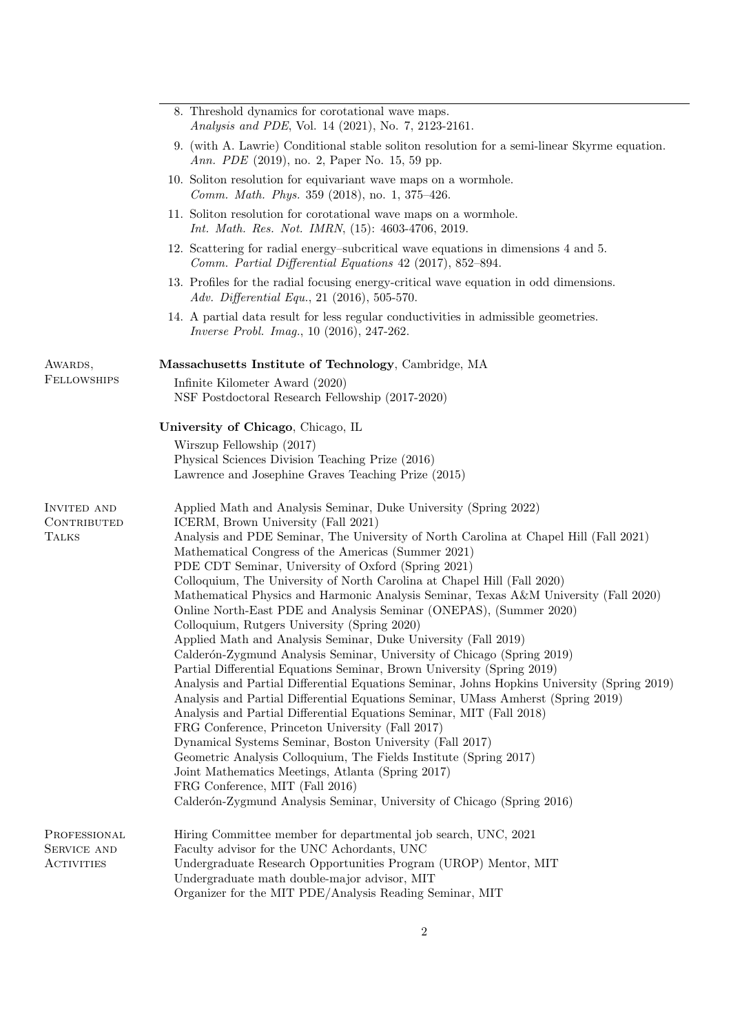|                                                   | 8. Threshold dynamics for corotational wave maps.<br>Analysis and PDE, Vol. 14 (2021), No. 7, 2123-2161.                                                                                                                                                                                                                                                                                                                                                                                                                                                                                                                                                                                                                                                                                                                                                                                                                                                                                                                                                                                                                                                                                                                                                                                                                                                                                                                                        |  |
|---------------------------------------------------|-------------------------------------------------------------------------------------------------------------------------------------------------------------------------------------------------------------------------------------------------------------------------------------------------------------------------------------------------------------------------------------------------------------------------------------------------------------------------------------------------------------------------------------------------------------------------------------------------------------------------------------------------------------------------------------------------------------------------------------------------------------------------------------------------------------------------------------------------------------------------------------------------------------------------------------------------------------------------------------------------------------------------------------------------------------------------------------------------------------------------------------------------------------------------------------------------------------------------------------------------------------------------------------------------------------------------------------------------------------------------------------------------------------------------------------------------|--|
|                                                   | 9. (with A. Lawrie) Conditional stable soliton resolution for a semi-linear Skyrme equation.<br>Ann. PDE (2019), no. 2, Paper No. 15, 59 pp.                                                                                                                                                                                                                                                                                                                                                                                                                                                                                                                                                                                                                                                                                                                                                                                                                                                                                                                                                                                                                                                                                                                                                                                                                                                                                                    |  |
|                                                   | 10. Soliton resolution for equivariant wave maps on a wormhole.<br>Comm. Math. Phys. 359 (2018), no. 1, 375-426.                                                                                                                                                                                                                                                                                                                                                                                                                                                                                                                                                                                                                                                                                                                                                                                                                                                                                                                                                                                                                                                                                                                                                                                                                                                                                                                                |  |
|                                                   | 11. Soliton resolution for corotational wave maps on a wormhole.<br>Int. Math. Res. Not. IMRN, (15): 4603-4706, 2019.                                                                                                                                                                                                                                                                                                                                                                                                                                                                                                                                                                                                                                                                                                                                                                                                                                                                                                                                                                                                                                                                                                                                                                                                                                                                                                                           |  |
|                                                   | 12. Scattering for radial energy-subcritical wave equations in dimensions 4 and 5.<br>Comm. Partial Differential Equations 42 (2017), 852-894.                                                                                                                                                                                                                                                                                                                                                                                                                                                                                                                                                                                                                                                                                                                                                                                                                                                                                                                                                                                                                                                                                                                                                                                                                                                                                                  |  |
|                                                   | 13. Profiles for the radial focusing energy-critical wave equation in odd dimensions.<br>Adv. Differential Equ., 21 (2016), 505-570.                                                                                                                                                                                                                                                                                                                                                                                                                                                                                                                                                                                                                                                                                                                                                                                                                                                                                                                                                                                                                                                                                                                                                                                                                                                                                                            |  |
|                                                   | 14. A partial data result for less regular conductivities in admissible geometries.<br><i>Inverse Probl. Imag.</i> , 10 (2016), 247-262.                                                                                                                                                                                                                                                                                                                                                                                                                                                                                                                                                                                                                                                                                                                                                                                                                                                                                                                                                                                                                                                                                                                                                                                                                                                                                                        |  |
| AWARDS,                                           | Massachusetts Institute of Technology, Cambridge, MA                                                                                                                                                                                                                                                                                                                                                                                                                                                                                                                                                                                                                                                                                                                                                                                                                                                                                                                                                                                                                                                                                                                                                                                                                                                                                                                                                                                            |  |
| <b>FELLOWSHIPS</b>                                | Infinite Kilometer Award (2020)<br>NSF Postdoctoral Research Fellowship (2017-2020)                                                                                                                                                                                                                                                                                                                                                                                                                                                                                                                                                                                                                                                                                                                                                                                                                                                                                                                                                                                                                                                                                                                                                                                                                                                                                                                                                             |  |
|                                                   | University of Chicago, Chicago, IL                                                                                                                                                                                                                                                                                                                                                                                                                                                                                                                                                                                                                                                                                                                                                                                                                                                                                                                                                                                                                                                                                                                                                                                                                                                                                                                                                                                                              |  |
|                                                   | Wirszup Fellowship (2017)                                                                                                                                                                                                                                                                                                                                                                                                                                                                                                                                                                                                                                                                                                                                                                                                                                                                                                                                                                                                                                                                                                                                                                                                                                                                                                                                                                                                                       |  |
|                                                   | Physical Sciences Division Teaching Prize (2016)<br>Lawrence and Josephine Graves Teaching Prize (2015)                                                                                                                                                                                                                                                                                                                                                                                                                                                                                                                                                                                                                                                                                                                                                                                                                                                                                                                                                                                                                                                                                                                                                                                                                                                                                                                                         |  |
| <b>INVITED AND</b><br>CONTRIBUTED<br><b>TALKS</b> | Applied Math and Analysis Seminar, Duke University (Spring 2022)<br>ICERM, Brown University (Fall 2021)<br>Analysis and PDE Seminar, The University of North Carolina at Chapel Hill (Fall 2021)<br>Mathematical Congress of the Americas (Summer 2021)<br>PDE CDT Seminar, University of Oxford (Spring 2021)<br>Colloquium, The University of North Carolina at Chapel Hill (Fall 2020)<br>Mathematical Physics and Harmonic Analysis Seminar, Texas A&M University (Fall 2020)<br>Online North-East PDE and Analysis Seminar (ONEPAS), (Summer 2020)<br>Colloquium, Rutgers University (Spring 2020)<br>Applied Math and Analysis Seminar, Duke University (Fall 2019)<br>Calderón-Zygmund Analysis Seminar, University of Chicago (Spring 2019)<br>Partial Differential Equations Seminar, Brown University (Spring 2019)<br>Analysis and Partial Differential Equations Seminar, Johns Hopkins University (Spring 2019)<br>Analysis and Partial Differential Equations Seminar, UMass Amherst (Spring 2019)<br>Analysis and Partial Differential Equations Seminar, MIT (Fall 2018)<br>FRG Conference, Princeton University (Fall 2017)<br>Dynamical Systems Seminar, Boston University (Fall 2017)<br>Geometric Analysis Colloquium, The Fields Institute (Spring 2017)<br>Joint Mathematics Meetings, Atlanta (Spring 2017)<br>FRG Conference, MIT (Fall 2016)<br>Calderón-Zygmund Analysis Seminar, University of Chicago (Spring 2016) |  |
| PROFESSIONAL<br>SERVICE AND<br><b>ACTIVITIES</b>  | Hiring Committee member for departmental job search, UNC, 2021<br>Faculty advisor for the UNC Achordants, UNC<br>Undergraduate Research Opportunities Program (UROP) Mentor, MIT<br>Undergraduate math double-major advisor, MIT<br>Organizer for the MIT PDE/Analysis Reading Seminar, MIT                                                                                                                                                                                                                                                                                                                                                                                                                                                                                                                                                                                                                                                                                                                                                                                                                                                                                                                                                                                                                                                                                                                                                     |  |